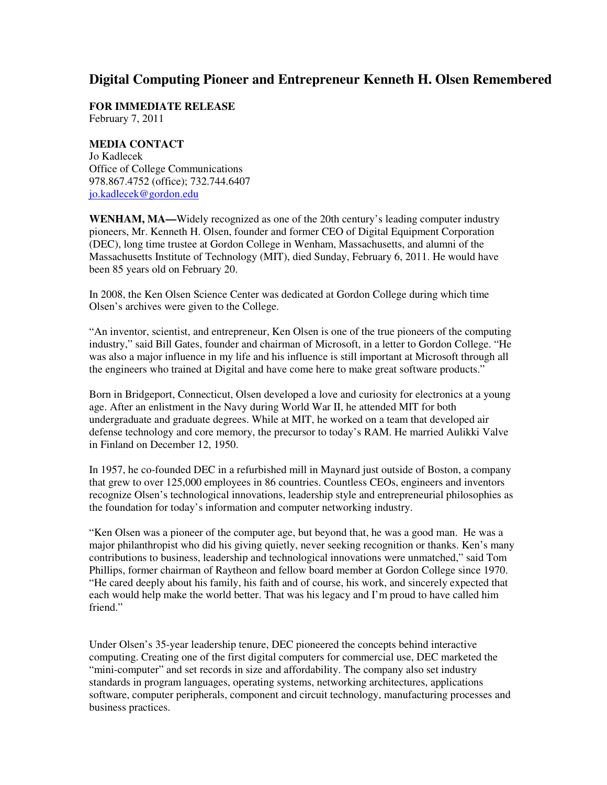## **Digital Computing Pioneer and Entrepreneur Kenneth H. Olsen Remembered**

**FOR IMMEDIATE RELEASE** February 7, 2011

**MEDIA CONTACT** Jo Kadlecek Office of College Communications 978.867.4752 (office); 732.744.6407 jo.kadlecek@gordon.edu

**WENHAM, MA—**Widely recognized as one of the 20th century's leading computer industry pioneers, Mr. Kenneth H. Olsen, founder and former CEO of Digital Equipment Corporation (DEC), long time trustee at Gordon College in Wenham, Massachusetts, and alumni of the Massachusetts Institute of Technology (MIT), died Sunday, February 6, 2011. He would have been 85 years old on February 20.

In 2008, the Ken Olsen Science Center was dedicated at Gordon College during which time Olsen's archives were given to the College.

"An inventor, scientist, and entrepreneur, Ken Olsen is one of the true pioneers of the computing industry," said Bill Gates, founder and chairman of Microsoft, in a letter to Gordon College. "He was also a major influence in my life and his influence is still important at Microsoft through all the engineers who trained at Digital and have come here to make great software products."

Born in Bridgeport, Connecticut, Olsen developed a love and curiosity for electronics at a young age. After an enlistment in the Navy during World War II, he attended MIT for both undergraduate and graduate degrees. While at MIT, he worked on a team that developed air defense technology and core memory, the precursor to today's RAM. He married Aulikki Valve in Finland on December 12, 1950.

In 1957, he co-founded DEC in a refurbished mill in Maynard just outside of Boston, a company that grew to over 125,000 employees in 86 countries. Countless CEOs, engineers and inventors recognize Olsen's technological innovations, leadership style and entrepreneurial philosophies as the foundation for today's information and computer networking industry.

"Ken Olsen was a pioneer of the computer age, but beyond that, he was a good man. He was a major philanthropist who did his giving quietly, never seeking recognition or thanks. Ken's many contributions to business, leadership and technological innovations were unmatched," said Tom Phillips, former chairman of Raytheon and fellow board member at Gordon College since 1970. "He cared deeply about his family, his faith and of course, his work, and sincerely expected that each would help make the world better. That was his legacy and I'm proud to have called him friend."

Under Olsen's 35-year leadership tenure, DEC pioneered the concepts behind interactive computing. Creating one of the first digital computers for commercial use, DEC marketed the "mini-computer" and set records in size and affordability. The company also set industry standards in program languages, operating systems, networking architectures, applications software, computer peripherals, component and circuit technology, manufacturing processes and business practices.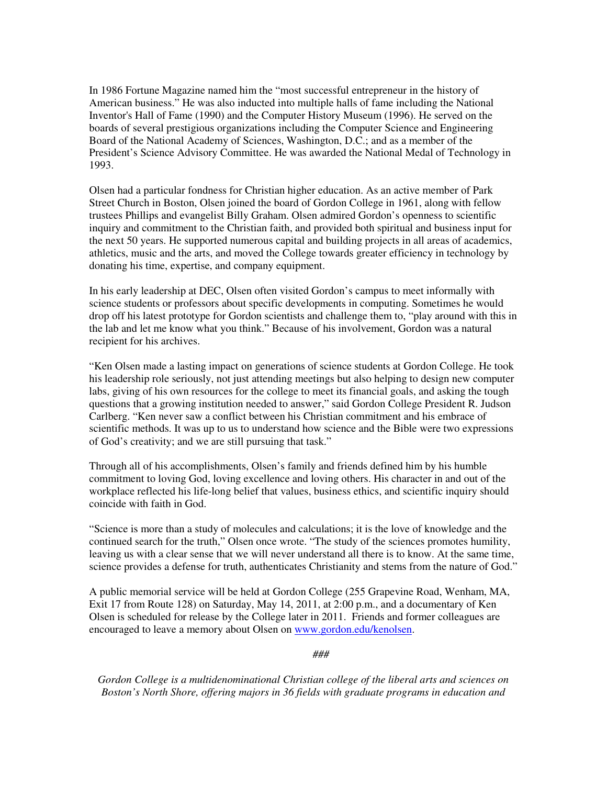In 1986 Fortune Magazine named him the "most successful entrepreneur in the history of American business." He was also inducted into multiple halls of fame including the National Inventor's Hall of Fame (1990) and the Computer History Museum (1996). He served on the boards of several prestigious organizations including the Computer Science and Engineering Board of the National Academy of Sciences, Washington, D.C.; and as a member of the President's Science Advisory Committee. He was awarded the National Medal of Technology in 1993.

Olsen had a particular fondness for Christian higher education. As an active member of Park Street Church in Boston, Olsen joined the board of Gordon College in 1961, along with fellow trustees Phillips and evangelist Billy Graham. Olsen admired Gordon's openness to scientific inquiry and commitment to the Christian faith, and provided both spiritual and business input for the next 50 years. He supported numerous capital and building projects in all areas of academics, athletics, music and the arts, and moved the College towards greater efficiency in technology by donating his time, expertise, and company equipment.

In his early leadership at DEC, Olsen often visited Gordon's campus to meet informally with science students or professors about specific developments in computing. Sometimes he would drop off his latest prototype for Gordon scientists and challenge them to, "play around with this in the lab and let me know what you think." Because of his involvement, Gordon was a natural recipient for his archives.

"Ken Olsen made a lasting impact on generations of science students at Gordon College. He took his leadership role seriously, not just attending meetings but also helping to design new computer labs, giving of his own resources for the college to meet its financial goals, and asking the tough questions that a growing institution needed to answer," said Gordon College President R. Judson Carlberg. "Ken never saw a conflict between his Christian commitment and his embrace of scientific methods. It was up to us to understand how science and the Bible were two expressions of God's creativity; and we are still pursuing that task."

Through all of his accomplishments, Olsen's family and friends defined him by his humble commitment to loving God, loving excellence and loving others. His character in and out of the workplace reflected his life-long belief that values, business ethics, and scientific inquiry should coincide with faith in God.

"Science is more than a study of molecules and calculations; it is the love of knowledge and the continued search for the truth," Olsen once wrote. "The study of the sciences promotes humility, leaving us with a clear sense that we will never understand all there is to know. At the same time, science provides a defense for truth, authenticates Christianity and stems from the nature of God."

A public memorial service will be held at Gordon College (255 Grapevine Road, Wenham, MA, Exit 17 from Route 128) on Saturday, May 14, 2011, at 2:00 p.m., and a documentary of Ken Olsen is scheduled for release by the College later in 2011. Friends and former colleagues are encouraged to leave a memory about Olsen on www.gordon.edu/kenolsen.

*###* 

*Gordon College is a multidenominational Christian college of the liberal arts and sciences on Boston's North Shore, offering majors in 36 fields with graduate programs in education and*